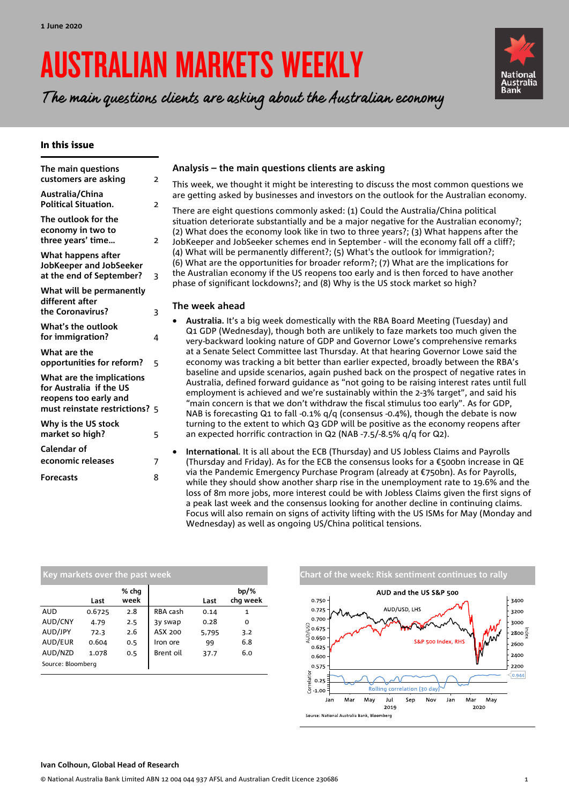# AUSTRALIAN MARKETS WEEKLY

The main questions clients are asking about the Australian economy

### In this issue

| The main questions<br>customers are asking                                    | $\overline{2}$ |
|-------------------------------------------------------------------------------|----------------|
| Australia/China<br><b>Political Situation.</b>                                | $\overline{z}$ |
| The outlook for the<br>economy in two to<br>three years' time                 | $\overline{2}$ |
| What happens after<br>JobKeeper and JobSeeker<br>at the end of September?     | 3              |
| What will be permanently<br>different after<br>the Coronavirus?               | 3              |
| What's the outlook<br>for immigration?                                        | 4              |
| What are the<br>opportunities for reform?                                     | 5              |
| What are the implications<br>for Australia if the US<br>reopens too early and |                |
| must reinstate restrictions? 5                                                |                |
| Why is the US stock<br>market so high?                                        | 5              |
| Calendar of                                                                   |                |
| economic releases                                                             | 7              |
| <b>Forecasts</b>                                                              | 8              |
|                                                                               |                |

## **Analysis – the main questions clients are asking**

This week, we thought it might be interesting to discuss the most common questions we are getting asked by businesses and investors on the outlook for the Australian economy.

There are eight questions commonly asked: (1) Could the Australia/China political situation deteriorate substantially and be a major negative for the Australian economy?; (2) What does the economy look like in two to three years?; (3) What happens after the JobKeeper and JobSeeker schemes end in September - will the economy fall off a cliff?; (4) What will be permanently different?; (5) What's the outlook for immigration?; (6) What are the opportunities for broader reform?; (7) What are the implications for the Australian economy if the US reopens too early and is then forced to have another phase of significant lockdowns?; and (8) Why is the US stock market so high?

### **The week ahead**

- **Australia.** It's a big week domestically with the RBA Board Meeting (Tuesday) and Q1 GDP (Wednesday), though both are unlikely to faze markets too much given the very-backward looking nature of GDP and Governor Lowe's comprehensive remarks at a Senate Select Committee last Thursday. At that hearing Governor Lowe said the economy was tracking a bit better than earlier expected, broadly between the RBA's baseline and upside scenarios, again pushed back on the prospect of negative rates in Australia, defined forward guidance as "not going to be raising interest rates until full employment is achieved and we're sustainably within the 2-3% target", and said his "main concern is that we don't withdraw the fiscal stimulus too early". As for GDP, NAB is forecasting Q1 to fall -0.1%  $q/q$  (consensus -0.4%), though the debate is now turning to the extent to which Q3 GDP will be positive as the economy reopens after an expected horrific contraction in Q2 (NAB -7.5/-8.5% q/q for Q2).
- **International**. It is all about the ECB (Thursday) and US Jobless Claims and Payrolls (Thursday and Friday). As for the ECB the consensus looks for a  $\epsilon$ 500bn increase in QE via the Pandemic Emergency Purchase Program (already at €750bn). As for Payrolls, while they should show another sharp rise in the unemployment rate to 19.6% and the loss of 8m more jobs, more interest could be with Jobless Claims given the first signs of a peak last week and the consensus looking for another decline in continuing claims. Focus will also remain on signs of activity lifting with the US ISMs for May (Monday and Wednesday) as well as ongoing US/China political tensions.

| Key markets over the past week |        |               |           |       |                     |  |  |  |  |  |
|--------------------------------|--------|---------------|-----------|-------|---------------------|--|--|--|--|--|
|                                | Last   | % chg<br>week |           | Last  | $bp/\%$<br>chq week |  |  |  |  |  |
| <b>AUD</b>                     | 0.6725 | 2.8           | RBA cash  | 0.14  | 1                   |  |  |  |  |  |
| AUD/CNY                        | 4.79   | 2.5           | 3y swap   | 0.28  | 0                   |  |  |  |  |  |
| AUD/JPY                        | 72.3   | 2.6           | ASX 200   | 5,795 | 3.2                 |  |  |  |  |  |
| AUD/EUR                        | 0.604  | 0.5           | Iron ore  | 99    | 6.8                 |  |  |  |  |  |
| AUD/NZD                        | 1.078  | 0.5           | Brent oil | 37.7  | 6.0                 |  |  |  |  |  |
| Source: Bloomberg              |        |               |           |       |                     |  |  |  |  |  |





**Bank**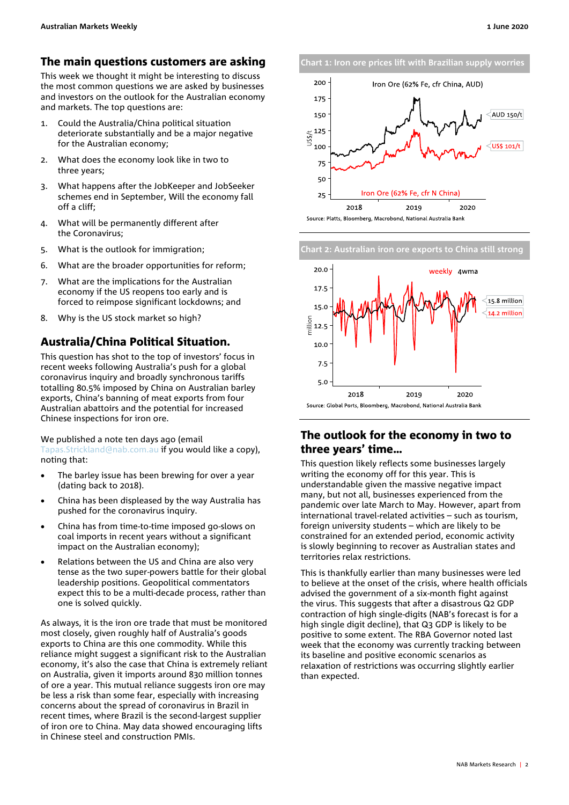## <span id="page-1-0"></span>The main questions customers are asking

This week we thought it might be interesting to discuss the most common questions we are asked by businesses and investors on the outlook for the Australian economy and markets. The top questions are:

- 1. Could the Australia/China political situation deteriorate substantially and be a major negative for the Australian economy;
- 2. What does the economy look like in two to three years;
- 3. What happens after the JobKeeper and JobSeeker schemes end in September, Will the economy fall off a cliff;
- 4. What will be permanently different after the Coronavirus;
- 5. What is the outlook for immigration;
- 6. What are the broader opportunities for reform;
- 7. What are the implications for the Australian economy if the US reopens too early and is forced to reimpose significant lockdowns; and
- 8. Why is the US stock market so high?

# <span id="page-1-1"></span>Australia/China Political Situation.

This question has shot to the top of investors' focus in recent weeks following Australia's push for a global coronavirus inquiry and broadly synchronous tariffs totalling 80.5% imposed by China on Australian barley exports, China's banning of meat exports from four Australian abattoirs and the potential for increased Chinese inspections for iron ore.

#### We published a note ten days ago (email

[Tapas.Strickland@nab.com.au](mailto:Tapas.Strickland@nab.com.au) if you would like a copy), noting that:

- The barley issue has been brewing for over a year (dating back to 2018).
- China has been displeased by the way Australia has pushed for the coronavirus inquiry.
- China has from time-to-time imposed go-slows on coal imports in recent years without a significant impact on the Australian economy);
- Relations between the US and China are also very tense as the two super-powers battle for their global leadership positions. Geopolitical commentators expect this to be a multi-decade process, rather than one is solved quickly.

As always, it is the iron ore trade that must be monitored most closely, given roughly half of Australia's goods exports to China are this one commodity. While this reliance might suggest a significant risk to the Australian economy, it's also the case that China is extremely reliant on Australia, given it imports around 830 million tonnes of ore a year. This mutual reliance suggests iron ore may be less a risk than some fear, especially with increasing concerns about the spread of coronavirus in Brazil in recent times, where Brazil is the second-largest supplier of iron ore to China. May data showed encouraging lifts in Chinese steel and construction PMIs.







# <span id="page-1-2"></span>The outlook for the economy in two to three years' time…

This question likely reflects some businesses largely writing the economy off for this year. This is understandable given the massive negative impact many, but not all, businesses experienced from the pandemic over late March to May. However, apart from international travel-related activities – such as tourism, foreign university students – which are likely to be constrained for an extended period, economic activity is slowly beginning to recover as Australian states and territories relax restrictions.

This is thankfully earlier than many businesses were led to believe at the onset of the crisis, where health officials advised the government of a six-month fight against the virus. This suggests that after a disastrous Q2 GDP contraction of high single-digits (NAB's forecast is for a high single digit decline), that Q3 GDP is likely to be positive to some extent. The RBA Governor noted last week that the economy was currently tracking between its baseline and positive economic scenarios as relaxation of restrictions was occurring slightly earlier than expected.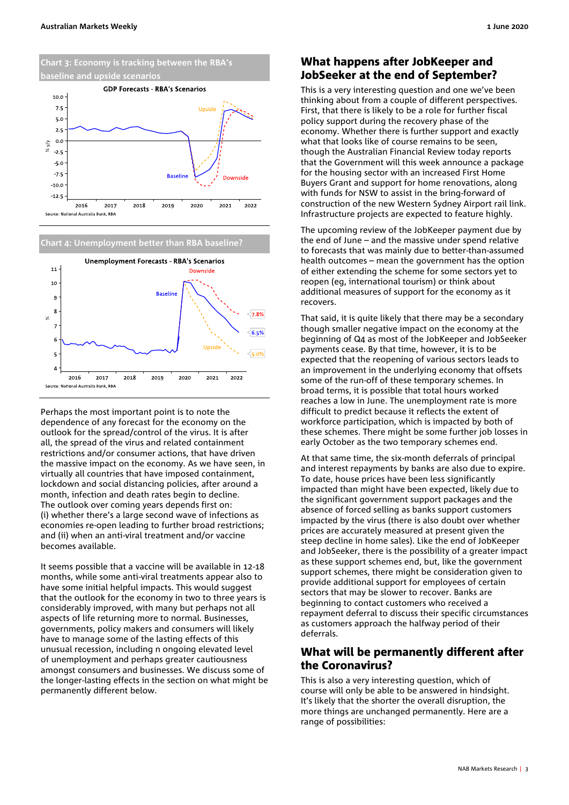

#### **Chart 4: Unemployment better than RBA baseline?**



Perhaps the most important point is to note the dependence of any forecast for the economy on the outlook for the spread/control of the virus. It is after all, the spread of the virus and related containment restrictions and/or consumer actions, that have driven the massive impact on the economy. As we have seen, in virtually all countries that have imposed containment, lockdown and social distancing policies, after around a month, infection and death rates begin to decline. The outlook over coming years depends first on: (i) whether there's a large second wave of infections as economies re-open leading to further broad restrictions; and (ii) when an anti-viral treatment and/or vaccine becomes available.

It seems possible that a vaccine will be available in 12-18 months, while some anti-viral treatments appear also to have some initial helpful impacts. This would suggest that the outlook for the economy in two to three years is considerably improved, with many but perhaps not all aspects of life returning more to normal. Businesses, governments, policy makers and consumers will likely have to manage some of the lasting effects of this unusual recession, including n ongoing elevated level of unemployment and perhaps greater cautiousness amongst consumers and businesses. We discuss some of the longer-lasting effects in the section on what might be permanently different below.

# <span id="page-2-0"></span>What happens after JobKeeper and JobSeeker at the end of September?

This is a very interesting question and one we've been thinking about from a couple of different perspectives. First, that there is likely to be a role for further fiscal policy support during the recovery phase of the economy. Whether there is further support and exactly what that looks like of course remains to be seen, though the Australian Financial Review today reports that the Government will this week announce a package for the housing sector with an increased First Home Buyers Grant and support for home renovations, along with funds for NSW to assist in the bring-forward of construction of the new Western Sydney Airport rail link. Infrastructure projects are expected to feature highly.

The upcoming review of the JobKeeper payment due by the end of June – and the massive under spend relative to forecasts that was mainly due to better-than-assumed health outcomes – mean the government has the option of either extending the scheme for some sectors yet to reopen (eg, international tourism) or think about additional measures of support for the economy as it recovers.

That said, it is quite likely that there may be a secondary though smaller negative impact on the economy at the beginning of Q4 as most of the JobKeeper and JobSeeker payments cease. By that time, however, it is to be expected that the reopening of various sectors leads to an improvement in the underlying economy that offsets some of the run-off of these temporary schemes. In broad terms, it is possible that total hours worked reaches a low in June. The unemployment rate is more difficult to predict because it reflects the extent of workforce participation, which is impacted by both of these schemes. There might be some further job losses in early October as the two temporary schemes end.

At that same time, the six-month deferrals of principal and interest repayments by banks are also due to expire. To date, house prices have been less significantly impacted than might have been expected, likely due to the significant government support packages and the absence of forced selling as banks support customers impacted by the virus (there is also doubt over whether prices are accurately measured at present given the steep decline in home sales). Like the end of JobKeeper and JobSeeker, there is the possibility of a greater impact as these support schemes end, but, like the government support schemes, there might be consideration given to provide additional support for employees of certain sectors that may be slower to recover. Banks are beginning to contact customers who received a repayment deferral to discuss their specific circumstances as customers approach the halfway period of their deferrals.

## <span id="page-2-1"></span>What will be permanently different after the Coronavirus?

This is also a very interesting question, which of course will only be able to be answered in hindsight. It's likely that the shorter the overall disruption, the more things are unchanged permanently. Here are a range of possibilities: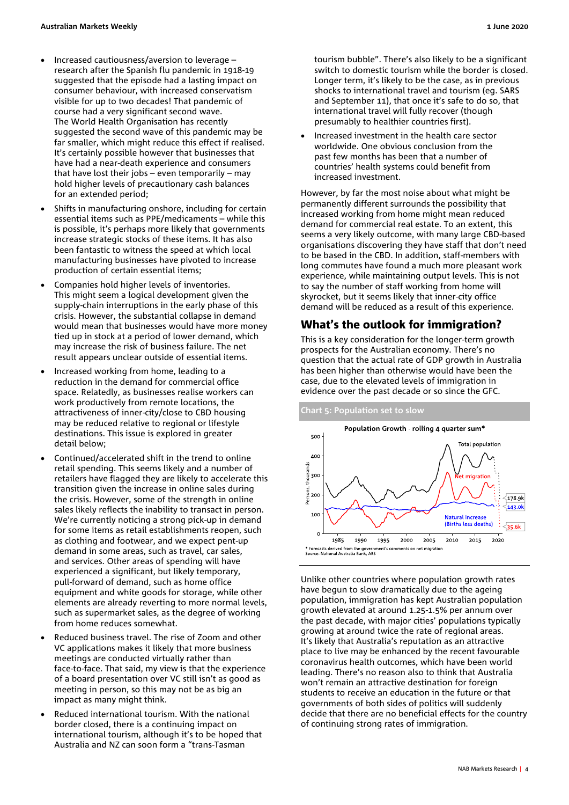- Increased cautiousness/aversion to leverage research after the Spanish flu pandemic in 1918-19 suggested that the episode had a lasting impact on consumer behaviour, with increased conservatism visible for up to two decades! That pandemic of course had a very significant second wave. The World Health Organisation has recently suggested the second wave of this pandemic may be far smaller, which might reduce this effect if realised. It's certainly possible however that businesses that have had a near-death experience and consumers that have lost their jobs – even temporarily – may hold higher levels of precautionary cash balances for an extended period;
- Shifts in manufacturing onshore, including for certain essential items such as PPE/medicaments – while this is possible, it's perhaps more likely that governments increase strategic stocks of these items. It has also been fantastic to witness the speed at which local manufacturing businesses have pivoted to increase production of certain essential items;
- Companies hold higher levels of inventories. This might seem a logical development given the supply-chain interruptions in the early phase of this crisis. However, the substantial collapse in demand would mean that businesses would have more money tied up in stock at a period of lower demand, which may increase the risk of business failure. The net result appears unclear outside of essential items.
- Increased working from home, leading to a reduction in the demand for commercial office space. Relatedly, as businesses realise workers can work productively from remote locations, the attractiveness of inner-city/close to CBD housing may be reduced relative to regional or lifestyle destinations. This issue is explored in greater detail below;
- Continued/accelerated shift in the trend to online retail spending. This seems likely and a number of retailers have flagged they are likely to accelerate this transition given the increase in online sales during the crisis. However, some of the strength in online sales likely reflects the inability to transact in person. We're currently noticing a strong pick-up in demand for some items as retail establishments reopen, such as clothing and footwear, and we expect pent-up demand in some areas, such as travel, car sales, and services. Other areas of spending will have experienced a significant, but likely temporary, pull-forward of demand, such as home office equipment and white goods for storage, while other elements are already reverting to more normal levels, such as supermarket sales, as the degree of working from home reduces somewhat.
- Reduced business travel. The rise of Zoom and other VC applications makes it likely that more business meetings are conducted virtually rather than face-to-face. That said, my view is that the experience of a board presentation over VC still isn't as good as meeting in person, so this may not be as big an impact as many might think.
- Reduced international tourism. With the national border closed, there is a continuing impact on international tourism, although it's to be hoped that Australia and NZ can soon form a "trans-Tasman

tourism bubble". There's also likely to be a significant switch to domestic tourism while the border is closed. Longer term, it's likely to be the case, as in previous shocks to international travel and tourism (eg. SARS and September 11), that once it's safe to do so, that international travel will fully recover (though presumably to healthier countries first).

• Increased investment in the health care sector worldwide. One obvious conclusion from the past few months has been that a number of countries' health systems could benefit from increased investment.

However, by far the most noise about what might be permanently different surrounds the possibility that increased working from home might mean reduced demand for commercial real estate. To an extent, this seems a very likely outcome, with many large CBD-based organisations discovering they have staff that don't need to be based in the CBD. In addition, staff-members with long commutes have found a much more pleasant work experience, while maintaining output levels. This is not to say the number of staff working from home will skyrocket, but it seems likely that inner-city office demand will be reduced as a result of this experience.

# <span id="page-3-0"></span>What's the outlook for immigration?

This is a key consideration for the longer-term growth prospects for the Australian economy. There's no question that the actual rate of GDP growth in Australia has been higher than otherwise would have been the case, due to the elevated levels of immigration in evidence over the past decade or so since the GFC.

#### **Chart 5: Population set to slow**



Unlike other countries where population growth rates have begun to slow dramatically due to the ageing population, immigration has kept Australian population growth elevated at around 1.25-1.5% per annum over the past decade, with major cities' populations typically growing at around twice the rate of regional areas. It's likely that Australia's reputation as an attractive place to live may be enhanced by the recent favourable coronavirus health outcomes, which have been world leading. There's no reason also to think that Australia won't remain an attractive destination for foreign students to receive an education in the future or that governments of both sides of politics will suddenly decide that there are no beneficial effects for the country of continuing strong rates of immigration.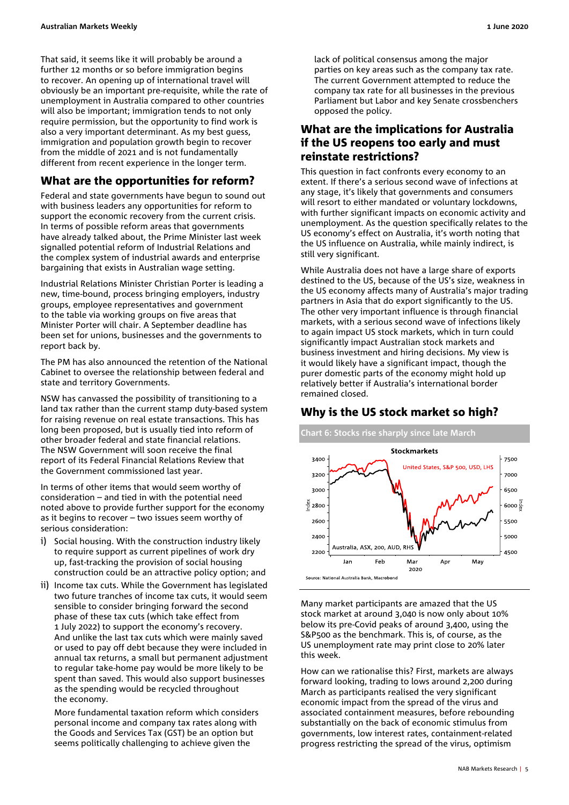That said, it seems like it will probably be around a further 12 months or so before immigration begins to recover. An opening up of international travel will obviously be an important pre-requisite, while the rate of unemployment in Australia compared to other countries will also be important; immigration tends to not only require permission, but the opportunity to find work is also a very important determinant. As my best guess, immigration and population growth begin to recover from the middle of 2021 and is not fundamentally different from recent experience in the longer term.

# <span id="page-4-0"></span>What are the opportunities for reform?

Federal and state governments have begun to sound out with business leaders any opportunities for reform to support the economic recovery from the current crisis. In terms of possible reform areas that governments have already talked about, the Prime Minister last week signalled potential reform of Industrial Relations and the complex system of industrial awards and enterprise bargaining that exists in Australian wage setting.

Industrial Relations Minister Christian Porter is leading a new, time-bound, process bringing employers, industry groups, employee representatives and government to the table via working groups on five areas that Minister Porter will chair. A September deadline has been set for unions, businesses and the governments to report back by.

The PM has also announced the retention of the National Cabinet to oversee the relationship between federal and state and territory Governments.

NSW has canvassed the possibility of transitioning to a land tax rather than the current stamp duty-based system for raising revenue on real estate transactions. This has long been proposed, but is usually tied into reform of other broader federal and state financial relations. The NSW Government will soon receive the final report of its Federal Financial Relations Review that the Government commissioned last year.

In terms of other items that would seem worthy of consideration – and tied in with the potential need noted above to provide further support for the economy as it begins to recover – two issues seem worthy of serious consideration:

- Social housing. With the construction industry likely to require support as current pipelines of work dry up, fast-tracking the provision of social housing construction could be an attractive policy option; and
- ii) Income tax cuts. While the Government has legislated two future tranches of income tax cuts, it would seem sensible to consider bringing forward the second phase of these tax cuts (which take effect from 1 July 2022) to support the economy's recovery. And unlike the last tax cuts which were mainly saved or used to pay off debt because they were included in annual tax returns, a small but permanent adjustment to regular take-home pay would be more likely to be spent than saved. This would also support businesses as the spending would be recycled throughout the economy.

More fundamental taxation reform which considers personal income and company tax rates along with the Goods and Services Tax (GST) be an option but seems politically challenging to achieve given the

lack of political consensus among the major parties on key areas such as the company tax rate. The current Government attempted to reduce the company tax rate for all businesses in the previous Parliament but Labor and key Senate crossbenchers opposed the policy.

# <span id="page-4-1"></span>What are the implications for Australia if the US reopens too early and must reinstate restrictions?

This question in fact confronts every economy to an extent. If there's a serious second wave of infections at any stage, it's likely that governments and consumers will resort to either mandated or voluntary lockdowns, with further significant impacts on economic activity and unemployment. As the question specifically relates to the US economy's effect on Australia, it's worth noting that the US influence on Australia, while mainly indirect, is still very significant.

While Australia does not have a large share of exports destined to the US, because of the US's size, weakness in the US economy affects many of Australia's major trading partners in Asia that do export significantly to the US. The other very important influence is through financial markets, with a serious second wave of infections likely to again impact US stock markets, which in turn could significantly impact Australian stock markets and business investment and hiring decisions. My view is it would likely have a significant impact, though the purer domestic parts of the economy might hold up relatively better if Australia's international border remained closed.

# <span id="page-4-2"></span>Why is the US stock market so high?



Many market participants are amazed that the US stock market at around 3,040 is now only about 10% below its pre-Covid peaks of around 3,400, using the S&P500 as the benchmark. This is, of course, as the US unemployment rate may print close to 20% later this week.

How can we rationalise this? First, markets are always forward looking, trading to lows around 2,200 during March as participants realised the very significant economic impact from the spread of the virus and associated containment measures, before rebounding substantially on the back of economic stimulus from governments, low interest rates, containment-related progress restricting the spread of the virus, optimism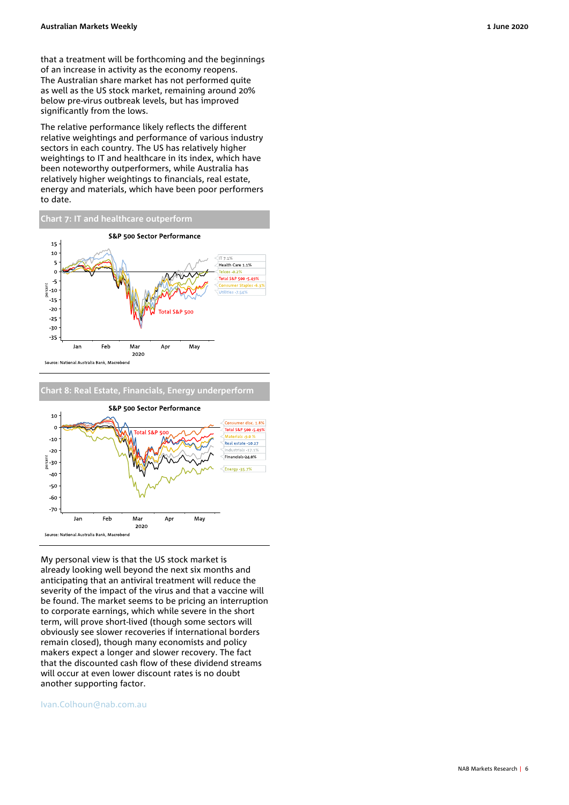that a treatment will be forthcoming and the beginnings of an increase in activity as the economy reopens. The Australian share market has not performed quite as well as the US stock market, remaining around 20% below pre-virus outbreak levels, but has improved significantly from the lows.

The relative performance likely reflects the different relative weightings and performance of various industry sectors in each country. The US has relatively higher weightings to IT and healthcare in its index, which have been noteworthy outperformers, while Australia has relatively higher weightings to financials, real estate, energy and materials, which have been poor performers to date.



**Chart 8: Real Estate, Financials, Energy underperform**



My personal view is that the US stock market is already looking well beyond the next six months and anticipating that an antiviral treatment will reduce the severity of the impact of the virus and that a vaccine will be found. The market seems to be pricing an interruption to corporate earnings, which while severe in the short term, will prove short-lived (though some sectors will obviously see slower recoveries if international borders remain closed), though many economists and policy makers expect a longer and slower recovery. The fact that the discounted cash flow of these dividend streams will occur at even lower discount rates is no doubt another supporting factor.

#### [Ivan.Colhoun@nab.com.au](mailto:Ivan.Colhoun@nab.com.au)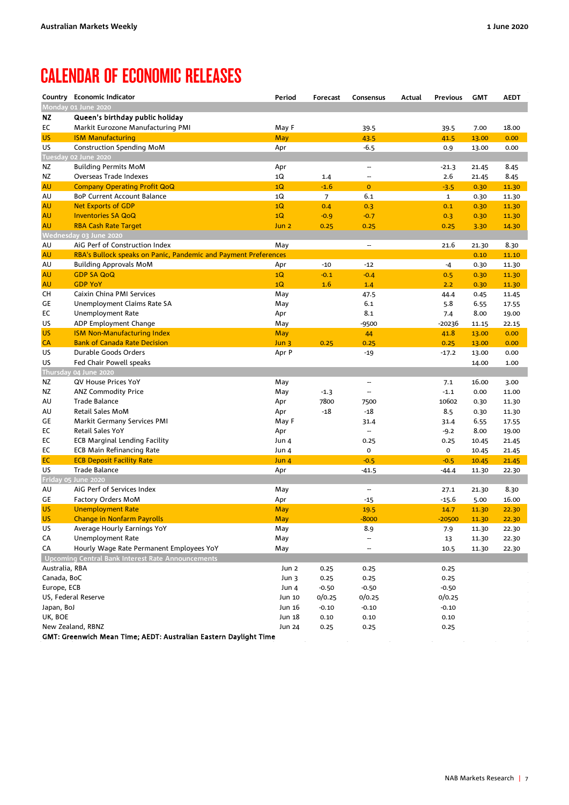# <span id="page-6-0"></span>CALENDAR OF ECONOMIC RELEASES

|                               | Country Economic Indicator                                                                    | Period           | Forecast          | Consensus                | Actual | <b>Previous</b>   | <b>GMT</b> | <b>AEDT</b> |
|-------------------------------|-----------------------------------------------------------------------------------------------|------------------|-------------------|--------------------------|--------|-------------------|------------|-------------|
|                               | Monday 01 June 2020                                                                           |                  |                   |                          |        |                   |            |             |
| ΝZ                            | Queen's birthday public holiday                                                               |                  |                   |                          |        |                   |            |             |
| EC                            | Markit Eurozone Manufacturing PMI                                                             | May F            |                   | 39.5                     |        | 39.5              | 7.00       | 18.00       |
| <b>US</b>                     | <b>ISM Manufacturing</b>                                                                      | <b>May</b>       |                   | 43.5                     |        | 41.5              | 13.00      | 0.00        |
| US                            | <b>Construction Spending MoM</b>                                                              | Apr              |                   | $-6.5$                   |        | 0.9               | 13.00      | 0.00        |
|                               | Tuesday 02 June 2020                                                                          |                  |                   |                          |        |                   |            |             |
| ΝZ                            | <b>Building Permits MoM</b>                                                                   | Apr              |                   | ш,                       |        | $-21.3$           | 21.45      | 8.45        |
| ΝZ                            | Overseas Trade Indexes                                                                        | 1Q               | 1.4               | --                       |        | 2.6               | 21.45      | 8.45        |
| <b>AU</b>                     | <b>Company Operating Profit QoQ</b>                                                           | 1Q               | $-1.6$            | $\mathbf{0}$             |        | $-3.5$            | 0.30       | 11.30       |
| AU                            | BoP Current Account Balance                                                                   | 1Q               | $\overline{7}$    | 6.1                      |        | ${\bf 1}$         | 0.30       | 11.30       |
| <b>AU</b>                     | <b>Net Exports of GDP</b>                                                                     | 1Q               | 0.4               | 0.3                      |        | 0.1               | 0.30       | 11.30       |
| <b>AU</b>                     | <b>Inventories SA QoQ</b>                                                                     | 1Q               | $-0.9$            | $-0.7$                   |        | 0.3               | 0.30       | 11.30       |
| <b>AU</b>                     | <b>RBA Cash Rate Target</b>                                                                   | Jun <sub>2</sub> | 0.25              | 0.25                     |        | 0.25              | 3.30       | 14.30       |
|                               | Wednesday 03 June 2020                                                                        |                  |                   |                          |        |                   |            |             |
| AU                            | AiG Perf of Construction Index                                                                | May              |                   | $\overline{\phantom{a}}$ |        | 21.6              | 21.30      | 8.30        |
| <b>AU</b>                     | RBA's Bullock speaks on Panic, Pandemic and Payment Preferences                               |                  |                   |                          |        |                   | 0.10       | 11.10       |
| AU                            | <b>Building Approvals MoM</b>                                                                 | Apr              | $-10$             | $-12$                    |        | $-4$              | 0.30       | 11.30       |
| <b>AU</b>                     | <b>GDP SA QoQ</b>                                                                             | 1Q               | $-0.1$            | $-0.4$                   |        | 0.5               | 0.30       | 11.30       |
| <b>AU</b>                     | <b>GDP YoY</b>                                                                                | 1Q               | 1.6               | 1.4                      |        | 2.2               | 0.30       | 11.30       |
| CH                            | Caixin China PMI Services                                                                     | May              |                   | 47.5                     |        | 44.4              | 0.45       | 11.45       |
| GE                            | Unemployment Claims Rate SA                                                                   | May              |                   | 6.1                      |        | 5.8               | 6.55       | 17.55       |
| EC                            | <b>Unemployment Rate</b>                                                                      | Apr              |                   | 8.1                      |        | 7.4               | 8.00       | 19.00       |
| US                            | ADP Employment Change                                                                         | May              |                   | -9500                    |        | $-20236$          | 11.15      | 22.15       |
| <b>US</b>                     | <b>ISM Non-Manufacturing Index</b>                                                            | <b>May</b>       |                   | 44                       |        | 41.8              | 13.00      | 0.00        |
| <b>CA</b>                     | <b>Bank of Canada Rate Decision</b>                                                           | Jun 3            | 0.25              | 0.25                     |        | 0.25              | 13.00      | 0.00        |
| US                            | Durable Goods Orders                                                                          | Apr P            |                   | $-19$                    |        | $-17.2$           | 13.00      | 0.00        |
| US                            | Fed Chair Powell speaks                                                                       |                  |                   |                          |        |                   | 14.00      | 1.00        |
|                               | Thursday 04 June 2020                                                                         |                  |                   |                          |        |                   |            |             |
| ΝZ                            | QV House Prices YoY                                                                           | May              |                   | -−                       |        | 7.1               | 16.00      | 3.00        |
| NZ                            | <b>ANZ Commodity Price</b>                                                                    | May              | $-1.3$            |                          |        | $-1.1$            | 0.00       | 11.00       |
| AU                            | <b>Trade Balance</b>                                                                          | Apr              | 7800              | 7500                     |        | 10602             | 0.30       | 11.30       |
| AU                            | Retail Sales MoM                                                                              | Apr              | $-18$             | $-18$                    |        | 8.5               | 0.30       | 11.30       |
| GE                            | Markit Germany Services PMI                                                                   | May F            |                   | 31.4                     |        | 31.4              | 6.55       | 17.55       |
| EC                            | Retail Sales YoY                                                                              | Apr              |                   | $\overline{\phantom{a}}$ |        | $-9.2$            | 8.00       | 19.00       |
| EC                            | <b>ECB Marginal Lending Facility</b>                                                          | Jun 4            |                   | 0.25                     |        | 0.25              | 10.45      | 21.45       |
| EC                            | <b>ECB Main Refinancing Rate</b>                                                              | Jun 4            |                   | 0                        |        | 0                 | 10.45      | 21.45       |
| EC                            | <b>ECB Deposit Facility Rate</b>                                                              | Jun <sub>4</sub> |                   | $-0.5$                   |        | $-0.5$            | 10.45      | 21.45       |
| US                            | <b>Trade Balance</b>                                                                          | Apr              |                   | $-41.5$                  |        | -44.4             | 11.30      | 22.30       |
|                               | Friday 05 June 2020                                                                           |                  |                   |                          |        |                   |            |             |
| AU                            | AiG Perf of Services Index                                                                    | May              |                   | ш,                       |        | 27.1              | 21.30      | 8.30        |
| GE                            | Factory Orders MoM                                                                            | Apr              |                   | $-15$                    |        | $-15.6$           | 5.00       | 16.00       |
| <b>US</b>                     | <b>Unemployment Rate</b>                                                                      | <b>May</b>       |                   | 19.5                     |        | 14.7              | 11.30      | 22.30       |
| <b>US</b>                     | <b>Change in Nonfarm Payrolls</b>                                                             | May              |                   | $-8000$                  |        | $-20500$          | 11.30      | 22.30       |
| US                            | Average Hourly Earnings YoY<br><b>Unemployment Rate</b>                                       | May              |                   | 8.9<br>ш,                |        | 7.9               | 11.30      | 22.30       |
| CA                            |                                                                                               | May              |                   |                          |        | 13                | 11.30      | 22.30       |
| CA                            | Hourly Wage Rate Permanent Employees YoY<br>Upcoming Central Bank Interest Rate Announcements | May              |                   | --                       |        | 10.5              | 11.30      | 22.30       |
|                               |                                                                                               |                  |                   |                          |        |                   |            |             |
| Australia, RBA<br>Canada, BoC |                                                                                               | Jun 2            | 0.25              | 0.25                     |        | 0.25              |            |             |
| Europe, ECB                   |                                                                                               | Jun 3            | 0.25              | 0.25                     |        | 0.25              |            |             |
|                               | US, Federal Reserve                                                                           | Jun 4<br>Jun 10  | $-0.50$<br>0/0.25 | $-0.50$                  |        | $-0.50$           |            |             |
| Japan, BoJ                    |                                                                                               | Jun 16           | $-0.10$           | 0/0.25<br>$-0.10$        |        | 0/0.25<br>$-0.10$ |            |             |
| UK, BOE                       |                                                                                               | Jun 18           | 0.10              | 0.10                     |        | 0.10              |            |             |
|                               | New Zealand, RBNZ                                                                             | Jun 24           | 0.25              | 0.25                     |        | 0.25              |            |             |
|                               | GMT: Greenwich Mean Time; AEDT: Australian Eastern Daylight Time                              |                  |                   |                          |        |                   |            |             |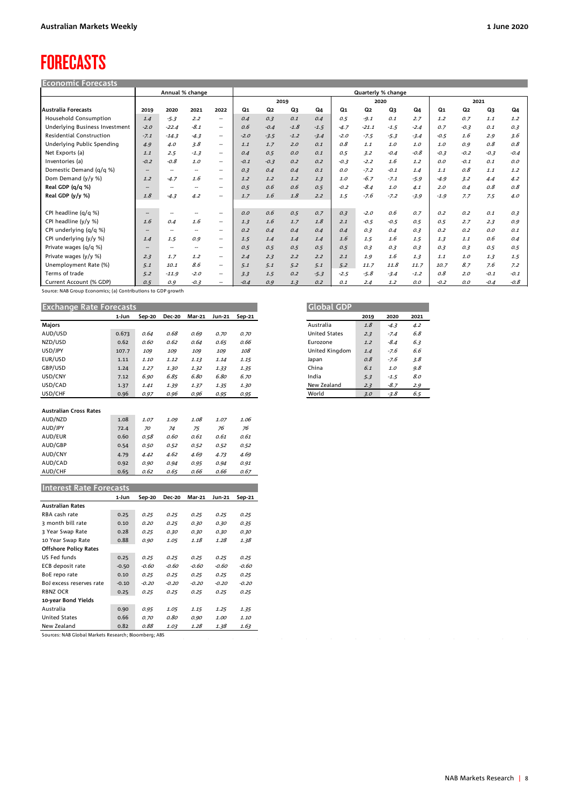# <span id="page-7-0"></span>FORECASTS

| <b>Economic Forecasts</b>       |                          |                          |                          |                          |        |                |        |        |        |                    |        |        |        |        |        |        |
|---------------------------------|--------------------------|--------------------------|--------------------------|--------------------------|--------|----------------|--------|--------|--------|--------------------|--------|--------|--------|--------|--------|--------|
|                                 | Annual % change          |                          |                          |                          |        |                |        |        |        | Quarterly % change |        |        |        |        |        |        |
|                                 |                          |                          |                          |                          | 2019   |                |        |        |        | 2020               |        |        | 2021   |        |        |        |
| Australia Forecasts             | 2019                     | 2020                     | 2021                     | 2022                     | Q1     | Q <sub>2</sub> | Q3     | Q4     | Q1     | Q2                 | Q3     | Q4     | Q1     | Q2     | Q3     | Q4     |
| <b>Household Consumption</b>    | 1.4                      | $-5.3$                   | 2.2                      | $\overline{\phantom{a}}$ | 0.4    | 0.3            | 0.1    | 0.4    | 0.5    | $-9.1$             | 0.1    | 2.7    | 1.2    | 0.7    | 1.1    | 1.2    |
| Underlying Business Investment  | $-2.0$                   | $-22.4$                  | $-8.1$                   | $\overline{\phantom{a}}$ | 0.6    | $-0.4$         | $-1.8$ | $-1.5$ | $-4.7$ | $-21.1$            | $-1.5$ | $-2.4$ | 0.7    | $-0.3$ | 0.1    | 0.3    |
| <b>Residential Construction</b> | $-7.1$                   | $-14.3$                  | $-4.3$                   | $\overline{\phantom{a}}$ | $-2.0$ | $-3.5$         | $-1.2$ | $-3.4$ | $-2.0$ | $-7.5$             | $-5.3$ | $-3.4$ | $-0.5$ | 1.6    | 2.9    | 3.6    |
| Underlying Public Spending      | 4.9                      | 4.0                      | 3.8                      | $\overline{\phantom{a}}$ | 1.1    | 1.7            | 2.0    | 0.1    | 0.8    | 1.1                | 1.0    | 1.0    | 1.0    | 0.9    | 0.8    | 0.8    |
| Net Exports (a)                 | 1.1                      | 2.5                      | $-1.3$                   | $\overline{\phantom{a}}$ | 0.4    | 0.5            | O, O   | 0.1    | 0.5    | 3.2                | $-0.4$ | $-0.8$ | $-0.3$ | $-0.2$ | $-0.3$ | $-0.4$ |
| Inventories (a)                 | $-0.2$                   | $-0.8$                   | 1.0                      | $\overline{\phantom{a}}$ | $-0.1$ | $-0.3$         | 0.2    | 0.2    | $-0.3$ | $-2.2$             | 1.6    | 1.2    | O.O    | $-0.1$ | 0.1    | O.O    |
| Domestic Demand (q/q %)         | $\hspace{0.05cm}$        | $\overline{\phantom{a}}$ | $\overline{\phantom{a}}$ | $\overline{\phantom{a}}$ | 0.3    | 0.4            | 0.4    | 0.1    | O. O   | $-7.2$             | $-0.1$ | 1.4    | 1.1    | 0.8    | 1.1    | 1.2    |
| Dom Demand (y/y %)              | 1.2                      | $-4.7$                   | 1.6                      | $\overline{\phantom{a}}$ | 1.2    | 1.2            | 1.2    | 1.3    | 1.0    | $-6.7$             | $-7.1$ | $-5.9$ | $-4.9$ | 3.2    | 4.4    | 4.2    |
| Real GDP (q/q %)                | $\overline{\phantom{a}}$ | $\overline{\phantom{a}}$ | --                       | $\overline{\phantom{a}}$ | 0.5    | 0.6            | 0.6    | 0.5    | $-0.2$ | $-8.4$             | 1.0    | 4.1    | 2.0    | 0.4    | 0.8    | 0.8    |
| Real GDP (y/y %)                | 1.8                      | $-4.3$                   | 4.2                      | $\overline{\phantom{a}}$ | 1.7    | 1.6            | 1.8    | 2.2    | 1.5    | $-7.6$             | $-7.2$ | $-3.9$ | $-1.9$ | 7.7    | 7.5    | 4.0    |
|                                 |                          |                          |                          |                          |        |                |        |        |        |                    |        |        |        |        |        |        |
| CPI headline (q/q %)            | $\hspace{0.05cm}$        | $\overline{\phantom{a}}$ | $\overline{\phantom{a}}$ | $\overline{\phantom{a}}$ | O.O    | 0.6            | 0.5    | 0.7    | 0.3    | $-2.0$             | 0.6    | 0.7    | 0.2    | 0.2    | 0.1    | 0.3    |
| CPI headline (y/y %)            | 1.6                      | 0.4                      | 1.6                      | $\overline{\phantom{a}}$ | 1.3    | 1.6            | 1.7    | 1.8    | 2.1    | $-0.5$             | $-0.5$ | 0.5    | 0.5    | 2.7    | 2.3    | 0.9    |
| CPI underlying (q/q %)          | $\hspace{0.05cm}$        | $\sim$                   | $\overline{\phantom{a}}$ | $\sim$                   | 0.2    | 0.4            | 0.4    | 0.4    | 0.4    | 0.3                | 0.4    | 0.3    | 0.2    | 0.2    | O.O    | 0.1    |
| CPI underlying (y/y %)          | 1.4                      | 1.5                      | 0.9                      | $\sim$                   | 1.5    | 1.4            | 1.4    | 1.4    | 1.6    | 1.5                | 1.6    | 1.5    | 1.3    | 1.1    | 0.6    | 0.4    |
| Private wages (g/g %)           | $\hspace{0.05cm}$        | $\overline{\phantom{a}}$ | $\overline{\phantom{a}}$ | $\overline{\phantom{a}}$ | 0.5    | 0.5            | 0.5    | 0.5    | 0.5    | 0.3                | 0.3    | 0.3    | 0.3    | 0.3    | 0.5    | 0.5    |
| Private wages (y/y %)           | 2.3                      | 1.7                      | 1.2                      | $\overline{\phantom{a}}$ | 2.4    | 2.3            | 2.2    | 2.2    | 2.1    | 1.9                | 1.6    | 1.3    | 1.1    | 1.0    | 1.3    | 1.5    |
| Unemployment Rate (%)           | 5.1                      | 10.1                     | 8.6                      | $\sim$                   | 5.1    | 5.1            | 5.2    | 5.1    | 5.2    | 11.7               | 11.8   | 11.7   | 10.7   | 8.7    | 7.6    | 7.2    |
| Terms of trade                  | 5.2                      | $-11.9$                  | $-2.0$                   | $\sim$                   | 3.3    | 1.5            | 0.2    | $-5.3$ | $-2.5$ | $-5.8$             | $-3.4$ | $-1.2$ | 0.8    | 2.0    | $-0.1$ | $-0.1$ |
| Current Account (% GDP)         | 0.5                      | 0.9                      | $-0.3$                   | --                       | $-0.4$ | 0.9            | 1.3    | 0.2    | 0.1    | 2.4                | 1.2    | O. O   | $-0.2$ | O. O   | $-0.4$ | $-0.8$ |

Source: NAB Group Economics; (a) Contributions to GDP growth

| <b>Exchange Rate Forecasts</b> |       |        |               |        |        |        |
|--------------------------------|-------|--------|---------------|--------|--------|--------|
|                                | 1-Jun | Sep-20 | <b>Dec-20</b> | Mar-21 | Jun-21 | Sep-21 |
| Majors                         |       |        |               |        |        |        |
| AUD/USD                        | 0.673 | 0.64   | 0.68          | 0.69   | 0.70   | 0.70   |
| NZD/USD                        | 0.62  | 0.60   | 0.62          | 0.64   | 0.65   | 0.66   |
| USD/JPY                        | 107.7 | 109    | 109           | 109    | 109    | 108    |
| EUR/USD                        | 1.11  | 1.10   | 1.12          | 1.13   | 1.14   | 1.15   |
| GBP/USD                        | 1.24  | 1.27   | 1.30          | 1.32   | 1.33   | 1.35   |
| USD/CNY                        | 7.12  | 6.90   | 6.85          | 6.80   | 6.80   | 6.70   |
| USD/CAD                        | 1.37  | 1.41   | 1.39          | 1.37   | 1.35   | 1.30   |
| USD/CHF                        | 0.96  | 0.97   | 0.96          | 0.96   | 0.95   | 0.95   |
|                                |       |        |               |        |        |        |
| <b>Australian Cross Rates</b>  |       |        |               |        |        |        |
| AUD/NZD                        | 1.08  | 1.07   | 1.09          | 1.08   | 1.07   | 1.06   |
| AUD/JPY                        | 72.4  | 70     | 74            | 75     | 76     | 76     |
| AUD/EUR                        | 0.60  | 0.58   | 0.60          | 0.61   | 0.61   | 0.61   |
| AUD/GBP                        | 0.54  | 0.50   | 0.52          | 0.52   | 0.52   | 0.52   |
| AUD/CNY                        | 4.79  | 4.42   | 4.62          | 4.69   | 4.73   | 4.69   |
| AUD/CAD                        | 0.92  | 0.90   | 0.94          | 0.95   | 0.94   | 0.91   |
| AUD/CHF                        | 0.65  | 0.62   | 0.65          | 0.66   | 0.66   | 0.67   |
|                                |       |        |               |        |        |        |
| <b>Interest Rate Forecasts</b> |       |        |               |        |        |        |
|                                | 1-Jun | Sep-20 | <b>Dec-20</b> | Mar-21 | Jun-21 | Sep-21 |

|                              | 1-Jun   | <b>Sep-20</b> | Dec-20  | mar-21  | Jun-21  | <b>Sep-21</b> |  |
|------------------------------|---------|---------------|---------|---------|---------|---------------|--|
| <b>Australian Rates</b>      |         |               |         |         |         |               |  |
| RBA cash rate                | 0.25    | 0.25          | 0.25    | 0.25    | 0.25    | 0.25          |  |
| 3 month bill rate            | 0.10    | 0.20          | 0.25    | 0.30    | 0.30    | 0.35          |  |
| 3 Year Swap Rate             | 0.28    | 0.25          | 0.30    | 0.30    | 0.30    | 0.30          |  |
| 10 Year Swap Rate            | 0.88    | 0.90          | 1.05    | 1.18    | 1.28    | 1.38          |  |
| <b>Offshore Policy Rates</b> |         |               |         |         |         |               |  |
| US Fed funds                 | 0.25    | 0.25          | 0.25    | 0.25    | 0.25    | 0.25          |  |
| ECB deposit rate             | $-0.50$ | -0.60         | -0.60   | -0.60   | -0.60   | -0.60         |  |
| BoE repo rate                | 0.10    | 0.25          | 0.25    | 0.25    | 0.25    | 0.25          |  |
| Bol excess reserves rate     | $-0.10$ | $-0.20$       | $-0.20$ | $-0.20$ | $-0.20$ | $-0.20$       |  |
| <b>RBNZ OCR</b>              | 0.25    | 0.25          | 0.25    | 0.25    | 0.25    | 0.25          |  |
| 10-year Bond Yields          |         |               |         |         |         |               |  |
| Australia                    | 0.90    | 0.95          | 1.05    | 1.15    | 1.25    | 1.35          |  |
| <b>United States</b>         | 0.66    | 0.70          | 0.80    | 0.90    | 1.00    | 1.10          |  |
| New Zealand                  | 0.82    | 0.88          | 1.03    | 1.28    | 1.38    | 1.63          |  |
|                              |         |               |         |         |         |               |  |

Sources: NAB Global Markets Research; Bloomberg; ABS

| <b>Global GDP</b>    |      |        |      |
|----------------------|------|--------|------|
|                      | 2019 | 2020   | 2021 |
| Australia            | 1.8  | $-4.3$ | 4.2  |
| <b>United States</b> | 2.3  | $-7.4$ | 6.8  |
| Eurozone             | 1.2  | $-8.4$ | 6.3  |
| United Kingdom       | 1.4  | -7.6   | 6.6  |
| Japan                | 0.8  | -7.6   | 3.8  |
| China                | 6.1  | 1.0    | 9,8  |
| India                | 5.3  | $-1.5$ | 8.0  |
| New Zealand          | 2.3  | -8.7   | 2.9  |
| World                | 3.0  | $-3.8$ | 6.5  |